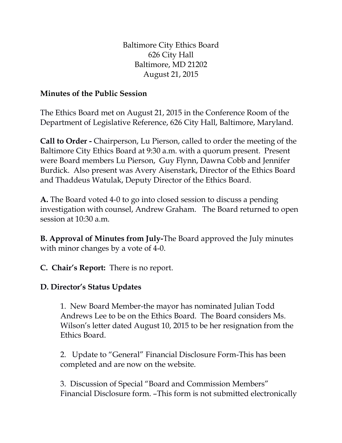Baltimore City Ethics Board 626 City Hall Baltimore, MD 21202 August 21, 2015

## **Minutes of the Public Session**

The Ethics Board met on August 21, 2015 in the Conference Room of the Department of Legislative Reference, 626 City Hall, Baltimore, Maryland.

**Call to Order -** Chairperson, Lu Pierson, called to order the meeting of the Baltimore City Ethics Board at 9:30 a.m. with a quorum present. Present were Board members Lu Pierson, Guy Flynn, Dawna Cobb and Jennifer Burdick. Also present was Avery Aisenstark, Director of the Ethics Board and Thaddeus Watulak, Deputy Director of the Ethics Board.

**A.** The Board voted 4-0 to go into closed session to discuss a pending investigation with counsel, Andrew Graham. The Board returned to open session at 10:30 a.m.

**B. Approval of Minutes from July-**The Board approved the July minutes with minor changes by a vote of 4-0.

**C. Chair's Report:** There is no report.

## **D. Director's Status Updates**

1. New Board Member-the mayor has nominated Julian Todd Andrews Lee to be on the Ethics Board. The Board considers Ms. Wilson's letter dated August 10, 2015 to be her resignation from the Ethics Board.

2. Update to "General" Financial Disclosure Form-This has been completed and are now on the website.

3. Discussion of Special "Board and Commission Members" Financial Disclosure form. –This form is not submitted electronically